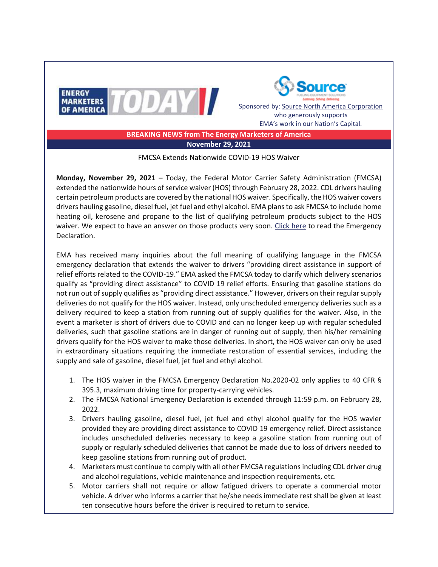



Sponsored by[: Source North America Corporation](https://protect-us.mimecast.com/s/OMGgCgJkoqslrP5GUo2P01?domain=sourcena.com) who generously supports EMA's work in our Nation's Capital.

**BREAKING NEWS from The Energy Marketers of America November 29, 2021**

FMCSA Extends Nationwide COVID-19 HOS Waiver

**Monday, November 29, 2021 –** Today, the Federal Motor Carrier Safety Administration (FMCSA) extended the nationwide hours of service waiver (HOS) through February 28, 2022. CDL drivers hauling certain petroleum products are covered by the national HOS waiver. Specifically, the HOS waiver covers drivers hauling gasoline, diesel fuel, jet fuel and ethyl alcohol. EMA plans to ask FMCSA to include home heating oil, kerosene and propane to the list of qualifying petroleum products subject to the HOS waiver. We expect to have an answer on those products very soon. [Click here](https://protect-us.mimecast.com/s/RVTvCjRnrwIj2l1Rs5XmHu?domain=fmcsa.dot.gov) to read the Emergency Declaration.

EMA has received many inquiries about the full meaning of qualifying language in the FMCSA emergency declaration that extends the waiver to drivers "providing direct assistance in support of relief efforts related to the COVID-19." EMA asked the FMCSA today to clarify which delivery scenarios qualify as "providing direct assistance" to COVID 19 relief efforts. Ensuring that gasoline stations do not run out of supply qualifies as "providing direct assistance." However, drivers on their regular supply deliveries do not qualify for the HOS waiver. Instead, only unscheduled emergency deliveries such as a delivery required to keep a station from running out of supply qualifies for the waiver. Also, in the event a marketer is short of drivers due to COVID and can no longer keep up with regular scheduled deliveries, such that gasoline stations are in danger of running out of supply, then his/her remaining drivers qualify for the HOS waiver to make those deliveries. In short, the HOS waiver can only be used in extraordinary situations requiring the immediate restoration of essential services, including the supply and sale of gasoline, diesel fuel, jet fuel and ethyl alcohol.

- 1. The HOS waiver in the FMCSA Emergency Declaration No.2020-02 only applies to 40 CFR § 395.3, maximum driving time for property-carrying vehicles.
- 2. The FMCSA National Emergency Declaration is extended through 11:59 p.m. on February 28, 2022.
- 3. Drivers hauling gasoline, diesel fuel, jet fuel and ethyl alcohol qualify for the HOS wavier provided they are providing direct assistance to COVID 19 emergency relief. Direct assistance includes unscheduled deliveries necessary to keep a gasoline station from running out of supply or regularly scheduled deliveries that cannot be made due to loss of drivers needed to keep gasoline stations from running out of product.
- 4. Marketers must continue to comply with all other FMCSA regulations including CDL driver drug and alcohol regulations, vehicle maintenance and inspection requirements, etc.
- 5. Motor carriers shall not require or allow fatigued drivers to operate a commercial motor vehicle. A driver who informs a carrier that he/she needs immediate rest shall be given at least ten consecutive hours before the driver is required to return to service.